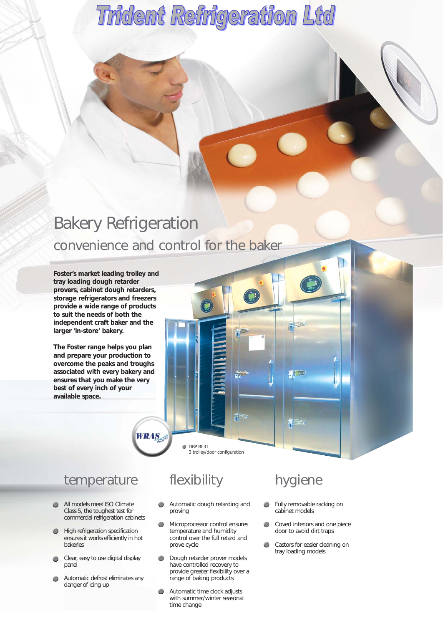# Bakery Refrigeration convenience and control for the baker

**Foster's market leading trolley and tray loading dough retarder provers, cabinet dough retarders, storage refrigerators and freezers provide a wide range of products to suit the needs of both the independent craft baker and the larger 'in-store' bakery.**

**The Foster range helps you plan and prepare your production to overcome the peaks and troughs associated with every bakery and ensures that you make the very best of every inch of your available space.**

#### temperature

- All models meet ISO Climate Class 5, the toughest test for commercial refrigeration cabinets
- **High refrigeration specification**  $\bullet$ ensures it works efficiently in hot bakeries
- Clear, easy to use digital display  $\bullet$ panel
- Automatic defrost eliminates any  $\bullet$ danger of icing up

#### flexibility

**DRP RI 3T** 

**WRAS** 

3 trolley/door configuration

- Automatic dough retarding and proving
- Microprocessor control ensures  $\bullet$ temperature and humidity control over the full retard and prove cycle
- **Dough retarder prover models** have controlled recovery to provide greater flexibility over a range of baking products
- $\bullet$ Automatic time clock adjusts with summer/winter seasonal time change

#### hygiene

- $\bullet$ Fully removable racking on cabinet models
- Coved interiors and one piece  $\bullet$ door to avoid dirt traps
- $\bullet$ Castors for easier cleaning on tray loading models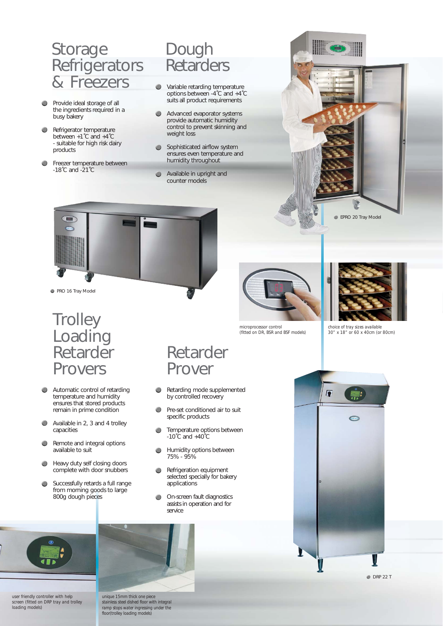### Storage Refrigerators & Freezers

- $\qquad \qquad \bullet$ Provide ideal storage of all the ingredients required in a busy bakery
- $\bullet$ Refrigerator temperature between +1˚C and +4˚C - suitable for high risk dairy products
- Freezer temperature between -18˚C and -21˚C

# Dough **Retarders**

- Variable retarding temperature options between -4˚C and +4˚C suits all product requirements
- Advanced evaporator systems provide automatic humidity control to prevent skinning and weight loss
- **Sophisticated airflow system** ensures even temperature and humidity throughout
- Available in upright and counter models





PRO 16 Tray Model

#### **Trolley** Loading Retarder Provers

- Automatic control of retarding  $\bullet$ temperature and humidity ensures that stored products remain in prime condition
- Available in 2, 3 and 4 trolley  $\qquad \qquad \bullet$ capacities
- Remote and integral options  $\bullet$ available to suit
- $\bullet$ Heavy duty self closing doors complete with door snubbers
- Successfully retards a full range  $\bullet$ from morning goods to large 800g dough pieces



*microprocessor control (fitted on DR, BSR and BSF models)*

*choice of tray sizes available 30" x 18" or 60 x 40cm (or 80cm)*

Prover

Retarder

- Retarding mode supplemented  $\bullet$ by controlled recovery
- Pre-set conditioned air to suit  $\bullet$ specific products
- $\bullet$ Temperature options between  $-10^{\circ}$ C and  $+40^{\circ}$ C
- Humidity options between  $\bullet$ 75% - 95%
- **Refrigeration equipment** selected specially for bakery applications
- On-screen fault diagnostics  $\bigcirc$ assists in operation and for service



*user friendly controller with help screen (fitted on DRP tray and trolley loading models)*



*unique 15mm thick one piece stainless steel dished floor with integral ramp stops water ingressing under the floor(trolley loading models)*